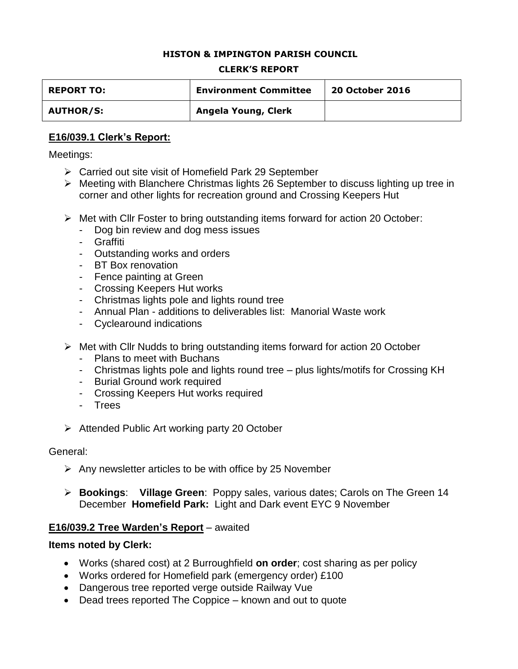#### **HISTON & IMPINGTON PARISH COUNCIL**

#### **CLERK'S REPORT**

| <b>REPORT TO:</b> | <b>Environment Committee</b> | <b>20 October 2016</b> |
|-------------------|------------------------------|------------------------|
| <b>AUTHOR/S:</b>  | Angela Young, Clerk          |                        |

#### **E16/039.1 Clerk's Report:**

Meetings:

- ▶ Carried out site visit of Homefield Park 29 September
- Meeting with Blanchere Christmas lights 26 September to discuss lighting up tree in corner and other lights for recreation ground and Crossing Keepers Hut
- Met with Cllr Foster to bring outstanding items forward for action 20 October:
	- Dog bin review and dog mess issues
	- Graffiti
	- Outstanding works and orders
	- BT Box renovation
	- Fence painting at Green
	- Crossing Keepers Hut works
	- Christmas lights pole and lights round tree
	- Annual Plan additions to deliverables list: Manorial Waste work
	- Cyclearound indications
- $\triangleright$  Met with Cllr Nudds to bring outstanding items forward for action 20 October
	- Plans to meet with Buchans
	- Christmas lights pole and lights round tree plus lights/motifs for Crossing KH
	- Burial Ground work required
	- Crossing Keepers Hut works required
	- Trees
- $\triangleright$  Attended Public Art working party 20 October

#### General:

- $\triangleright$  Any newsletter articles to be with office by 25 November
- **Bookings**: **Village Green**: Poppy sales, various dates; Carols on The Green 14 December **Homefield Park:** Light and Dark event EYC 9 November

#### **E16/039.2 Tree Warden's Report** – awaited

#### **Items noted by Clerk:**

- Works (shared cost) at 2 Burroughfield **on order**; cost sharing as per policy
- Works ordered for Homefield park (emergency order) £100
- Dangerous tree reported verge outside Railway Vue
- Dead trees reported The Coppice known and out to quote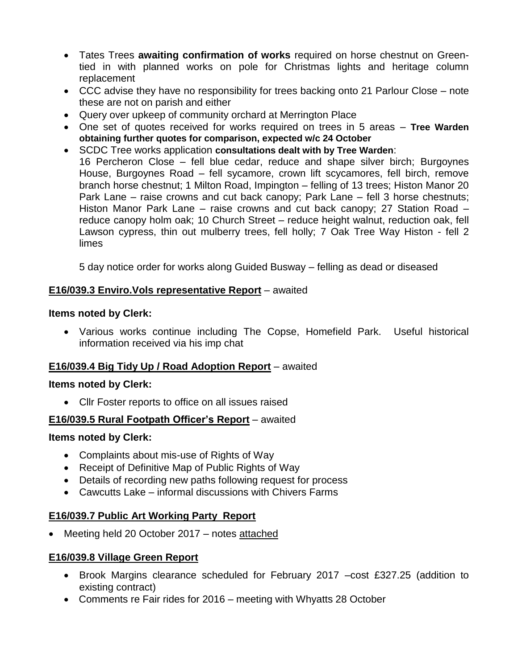- Tates Trees **awaiting confirmation of works** required on horse chestnut on Greentied in with planned works on pole for Christmas lights and heritage column replacement
- CCC advise they have no responsibility for trees backing onto 21 Parlour Close note these are not on parish and either
- Query over upkeep of community orchard at Merrington Place
- One set of quotes received for works required on trees in 5 areas **Tree Warden obtaining further quotes for comparison, expected w/c 24 October**
- SCDC Tree works application **consultations dealt with by Tree Warden**: 16 Percheron Close – fell blue cedar, reduce and shape silver birch; Burgoynes House, Burgoynes Road – fell sycamore, crown lift scycamores, fell birch, remove branch horse chestnut; 1 Milton Road, Impington – felling of 13 trees; Histon Manor 20 Park Lane – raise crowns and cut back canopy; Park Lane – fell 3 horse chestnuts; Histon Manor Park Lane – raise crowns and cut back canopy; 27 Station Road – reduce canopy holm oak; 10 Church Street – reduce height walnut, reduction oak, fell Lawson cypress, thin out mulberry trees, fell holly; 7 Oak Tree Way Histon - fell 2 limes

5 day notice order for works along Guided Busway – felling as dead or diseased

## **E16/039.3 Enviro.Vols representative Report** – awaited

### **Items noted by Clerk:**

 Various works continue including The Copse, Homefield Park. Useful historical information received via his imp chat

## **E16/039.4 Big Tidy Up / Road Adoption Report** – awaited

## **Items noted by Clerk:**

• Cllr Foster reports to office on all issues raised

## **E16/039.5 Rural Footpath Officer's Report** – awaited

## **Items noted by Clerk:**

- Complaints about mis-use of Rights of Way
- Receipt of Definitive Map of Public Rights of Way
- Details of recording new paths following request for process
- Cawcutts Lake informal discussions with Chivers Farms

## **E16/039.7 Public Art Working Party Report**

• Meeting held 20 October 2017 – notes attached

# **E16/039.8 Village Green Report**

- Brook Margins clearance scheduled for February 2017 –cost £327.25 (addition to existing contract)
- Comments re Fair rides for 2016 meeting with Whyatts 28 October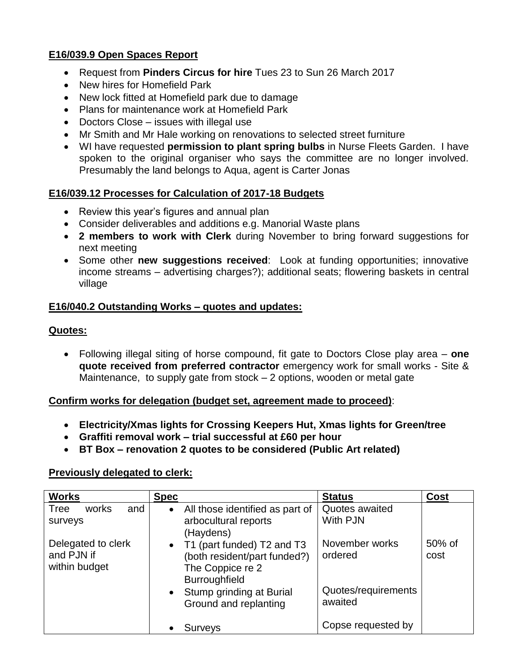## **E16/039.9 Open Spaces Report**

- Request from **Pinders Circus for hire** Tues 23 to Sun 26 March 2017
- New hires for Homefield Park
- New lock fitted at Homefield park due to damage
- Plans for maintenance work at Homefield Park
- Doctors Close issues with illegal use
- Mr Smith and Mr Hale working on renovations to selected street furniture
- WI have requested **permission to plant spring bulbs** in Nurse Fleets Garden. I have spoken to the original organiser who says the committee are no longer involved. Presumably the land belongs to Aqua, agent is Carter Jonas

### **E16/039.12 Processes for Calculation of 2017-18 Budgets**

- Review this year's figures and annual plan
- Consider deliverables and additions e.g. Manorial Waste plans
- **2 members to work with Clerk** during November to bring forward suggestions for next meeting
- Some other **new suggestions received**: Look at funding opportunities; innovative income streams – advertising charges?); additional seats; flowering baskets in central village

### **E16/040.2 Outstanding Works – quotes and updates:**

### **Quotes:**

 Following illegal siting of horse compound, fit gate to Doctors Close play area – **one quote received from preferred contractor** emergency work for small works - Site & Maintenance, to supply gate from stock – 2 options, wooden or metal gate

#### **Confirm works for delegation (budget set, agreement made to proceed)**:

- **Electricity/Xmas lights for Crossing Keepers Hut, Xmas lights for Green/tree**
- **Graffiti removal work – trial successful at £60 per hour**
- **BT Box – renovation 2 quotes to be considered (Public Art related)**

#### **Previously delegated to clerk:**

| <b>Works</b>                                      | <b>Spec</b>                                                                                              | <b>Status</b>                  | <b>Cost</b>    |
|---------------------------------------------------|----------------------------------------------------------------------------------------------------------|--------------------------------|----------------|
| Tree<br>works<br>and<br>surveys                   | All those identified as part of<br>$\bullet$<br>arbocultural reports<br>(Haydens)                        | Quotes awaited<br>With PJN     |                |
| Delegated to clerk<br>and PJN if<br>within budget | • T1 (part funded) T2 and T3<br>(both resident/part funded?)<br>The Coppice re 2<br><b>Burroughfield</b> | November works<br>ordered      | 50% of<br>cost |
|                                                   | Stump grinding at Burial<br>$\bullet$<br>Ground and replanting                                           | Quotes/requirements<br>awaited |                |
|                                                   | Surveys                                                                                                  | Copse requested by             |                |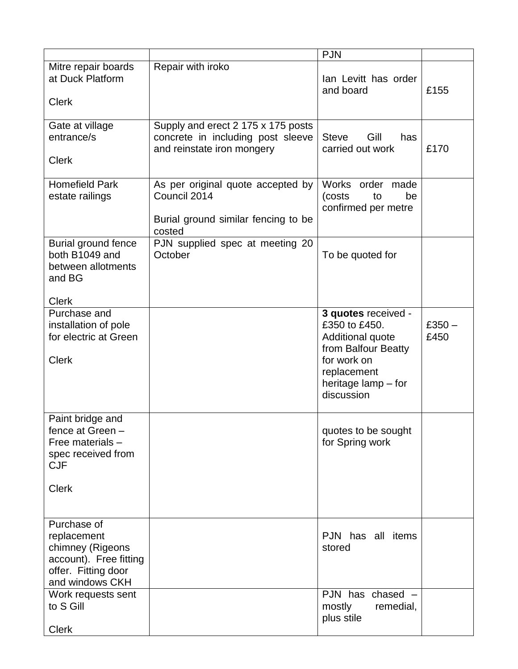|                                                                                                                    |                                                                                                       | <b>PJN</b>                                                                                                                                         |                  |
|--------------------------------------------------------------------------------------------------------------------|-------------------------------------------------------------------------------------------------------|----------------------------------------------------------------------------------------------------------------------------------------------------|------------------|
| Mitre repair boards<br>at Duck Platform<br><b>Clerk</b>                                                            | Repair with iroko                                                                                     | lan Levitt has order<br>and board                                                                                                                  | £155             |
| Gate at village<br>entrance/s<br><b>Clerk</b>                                                                      | Supply and erect 2 175 x 175 posts<br>concrete in including post sleeve<br>and reinstate iron mongery | <b>Steve</b><br>Gill<br>has<br>carried out work                                                                                                    | £170             |
| <b>Homefield Park</b><br>estate railings                                                                           | As per original quote accepted by<br>Council 2014<br>Burial ground similar fencing to be<br>costed    | Works order made<br>(costs<br>be<br>to<br>confirmed per metre                                                                                      |                  |
| Burial ground fence<br>both B1049 and<br>between allotments<br>and BG                                              | PJN supplied spec at meeting 20<br>October                                                            | To be quoted for                                                                                                                                   |                  |
| <b>Clerk</b><br>Purchase and<br>installation of pole<br>for electric at Green<br><b>Clerk</b>                      |                                                                                                       | 3 quotes received -<br>£350 to £450.<br>Additional quote<br>from Balfour Beatty<br>for work on<br>replacement<br>heritage lamp – for<br>discussion | $£350 -$<br>£450 |
| Paint bridge and<br>fence at Green -<br>Free materials -<br>spec received from<br><b>CJF</b><br><b>Clerk</b>       |                                                                                                       | quotes to be sought<br>for Spring work                                                                                                             |                  |
| Purchase of<br>replacement<br>chimney (Rigeons<br>account). Free fitting<br>offer. Fitting door<br>and windows CKH |                                                                                                       | PJN has all items<br>stored                                                                                                                        |                  |
| Work requests sent<br>to S Gill<br><b>Clerk</b>                                                                    |                                                                                                       | PJN has chased -<br>mostly<br>remedial,<br>plus stile                                                                                              |                  |